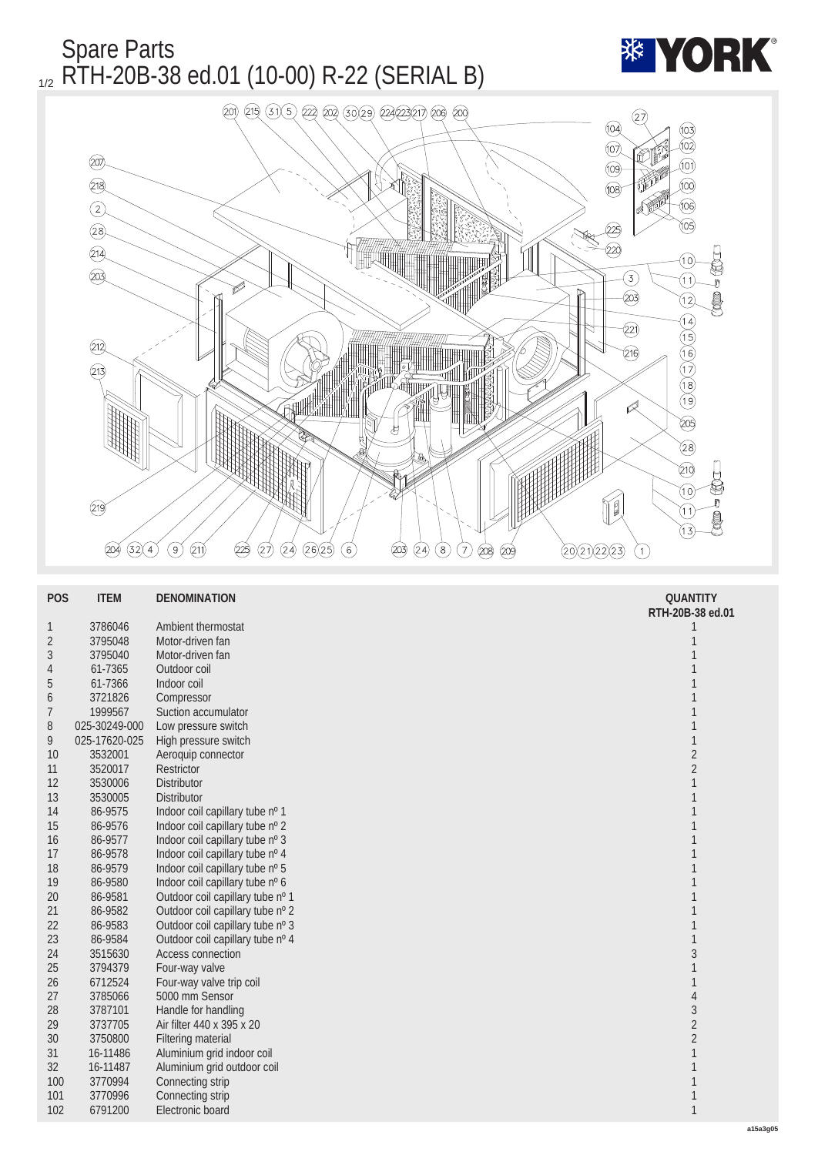

| <b>POS</b>       | <b>ITEM</b>   | <b>DENOMINATION</b>              | <b>QUANTITY</b>  |
|------------------|---------------|----------------------------------|------------------|
|                  |               |                                  | RTH-20B-38 ed.01 |
| $\mathbf{1}$     | 3786046       | Ambient thermostat               | 1                |
| $\boldsymbol{2}$ | 3795048       | Motor-driven fan                 | 1                |
| 3                | 3795040       | Motor-driven fan                 |                  |
| 4                | 61-7365       | Outdoor coil                     |                  |
| $\sqrt{5}$       | 61-7366       | Indoor coil                      |                  |
| 6                | 3721826       | Compressor                       | 1                |
| $\overline{7}$   | 1999567       | Suction accumulator              | 1                |
| 8                | 025-30249-000 | Low pressure switch              |                  |
| 9                | 025-17620-025 | High pressure switch             | 1                |
| <b>10</b>        | 3532001       | Aeroquip connector               | $\boldsymbol{2}$ |
| 11               | 3520017       | Restrictor                       | $\sqrt{2}$       |
| 12               | 3530006       | <b>Distributor</b>               | 1                |
| 13               | 3530005       | Distributor                      | 1                |
| 14               | 86-9575       | Indoor coil capillary tube nº 1  | 1                |
| 15               | 86-9576       | Indoor coil capillary tube nº 2  | 1                |
| 16               | 86-9577       | Indoor coil capillary tube nº 3  | 1                |
| 17               | 86-9578       | Indoor coil capillary tube nº 4  | 1                |
| 18               | 86-9579       | Indoor coil capillary tube nº 5  | 1                |
| 19               | 86-9580       | Indoor coil capillary tube nº 6  | 1                |
| 20               | 86-9581       | Outdoor coil capillary tube nº 1 |                  |
| 21               | 86-9582       | Outdoor coil capillary tube nº 2 | 1                |
| 22               | 86-9583       | Outdoor coil capillary tube nº 3 | 1                |
| 23               | 86-9584       | Outdoor coil capillary tube nº 4 | 1                |
| 24               | 3515630       | Access connection                | 3                |
| 25               | 3794379       | Four-way valve                   | 1                |
| 26               | 6712524       | Four-way valve trip coil         | 1                |
| 27               | 3785066       | 5000 mm Sensor                   | $\overline{4}$   |
| 28               | 3787101       | Handle for handling              | $\sqrt{3}$       |
| 29               | 3737705       | Air filter 440 x 395 x 20        | $\sqrt{2}$       |
| 30               | 3750800       | <b>Filtering material</b>        | $\sqrt{2}$       |
| 31               | 16-11486      | Aluminium grid indoor coil       | 1                |
| 32               | 16-11487      | Aluminium grid outdoor coil      | 1                |
| 100              | 3770994       | Connecting strip                 | 1                |
| 101              | 3770996       | Connecting strip                 | 1                |
| 102              | 6791200       | Electronic board                 | $\mathbf{1}$     |
|                  |               |                                  |                  |